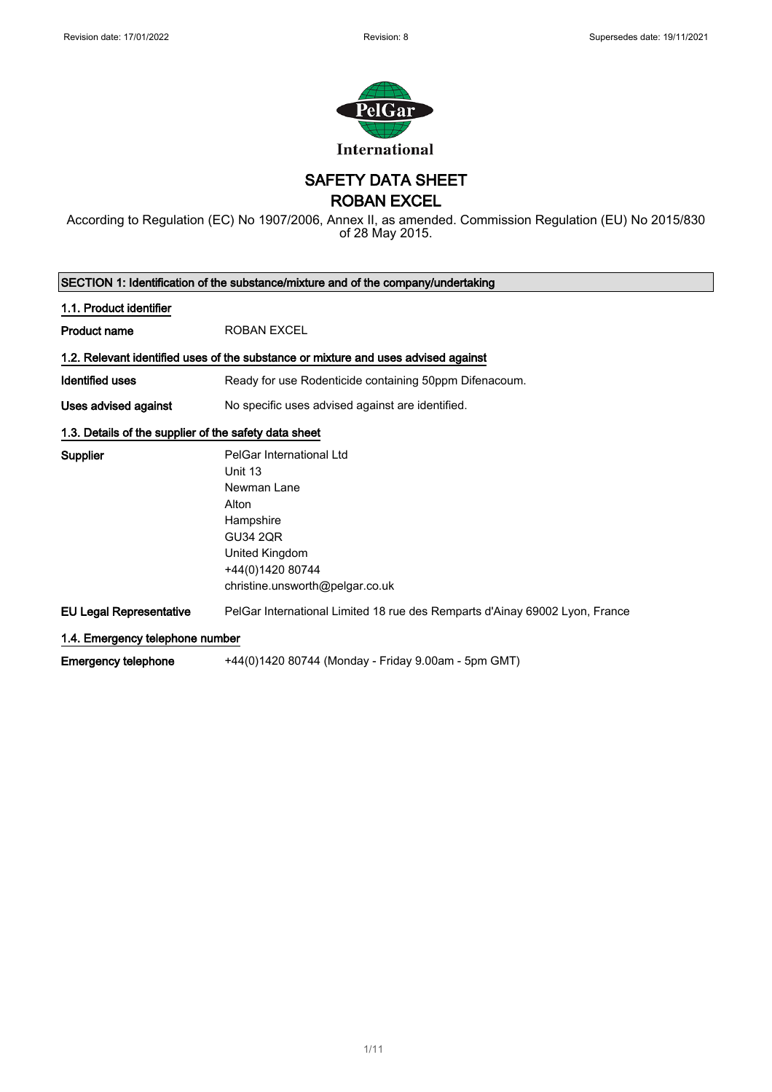

SAFETY DATA SHEET

ROBAN EXCEL

According to Regulation (EC) No 1907/2006, Annex II, as amended. Commission Regulation (EU) No 2015/830 of 28 May 2015.

| SECTION 1: Identification of the substance/mixture and of the company/undertaking |                                                                                    |  |
|-----------------------------------------------------------------------------------|------------------------------------------------------------------------------------|--|
| 1.1. Product identifier                                                           |                                                                                    |  |
| <b>Product name</b>                                                               | <b>ROBAN EXCEL</b>                                                                 |  |
|                                                                                   | 1.2. Relevant identified uses of the substance or mixture and uses advised against |  |
| <b>Identified uses</b>                                                            | Ready for use Rodenticide containing 50ppm Difenacoum.                             |  |
| Uses advised against                                                              | No specific uses advised against are identified.                                   |  |
| 1.3. Details of the supplier of the safety data sheet                             |                                                                                    |  |
| Supplier                                                                          | PelGar International Ltd<br>Unit 13                                                |  |
|                                                                                   | Newman Lane                                                                        |  |
|                                                                                   | Alton                                                                              |  |
|                                                                                   | Hampshire                                                                          |  |
|                                                                                   | <b>GU34 2QR</b>                                                                    |  |
|                                                                                   | United Kingdom                                                                     |  |
|                                                                                   | +44(0)1420 80744                                                                   |  |
|                                                                                   | christine.unsworth@pelgar.co.uk                                                    |  |
| <b>EU Legal Representative</b>                                                    | PelGar International Limited 18 rue des Remparts d'Ainay 69002 Lyon, France        |  |
| 1.4. Emergency telephone number                                                   |                                                                                    |  |
| <b>Emergency telephone</b>                                                        | +44(0)1420 80744 (Monday - Friday 9.00am - 5pm GMT)                                |  |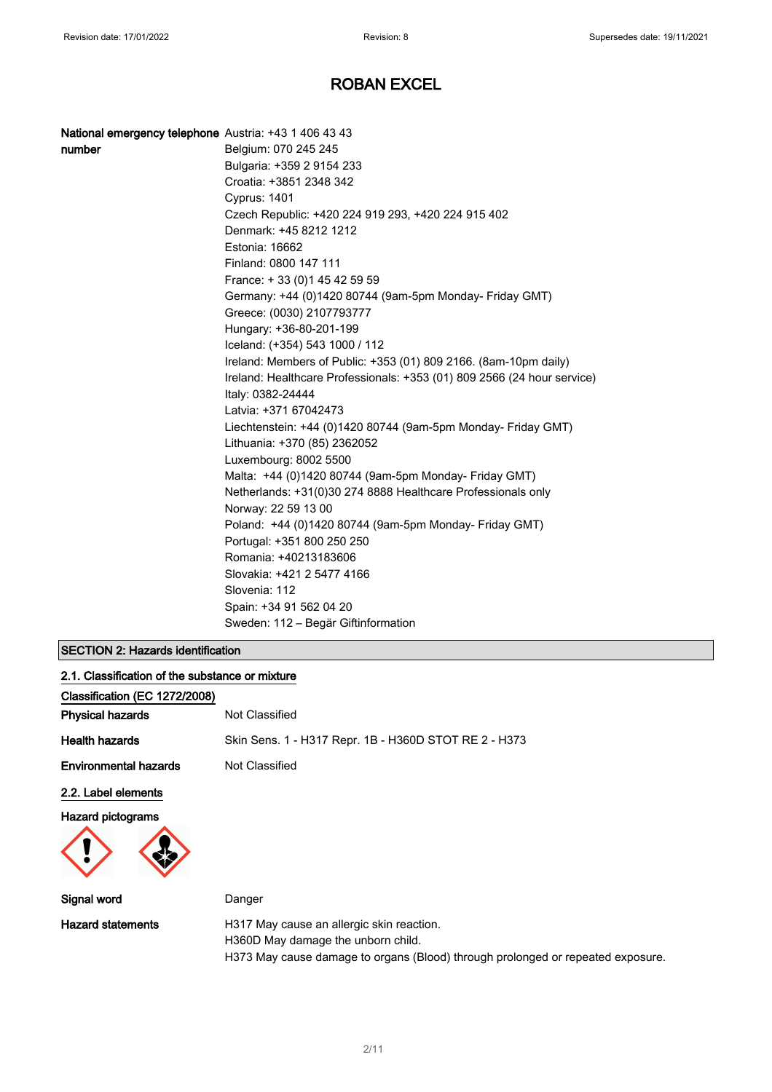| <b>National emergency telephone</b> Austria: +43 1 406 43 43 |                                                                         |
|--------------------------------------------------------------|-------------------------------------------------------------------------|
| number                                                       | Belgium: 070 245 245                                                    |
|                                                              | Bulgaria: +359 2 9154 233                                               |
|                                                              | Croatia: +3851 2348 342                                                 |
|                                                              | <b>Cyprus: 1401</b>                                                     |
|                                                              | Czech Republic: +420 224 919 293, +420 224 915 402                      |
|                                                              | Denmark: +45 8212 1212                                                  |
|                                                              | Estonia: 16662                                                          |
|                                                              | Finland: 0800 147 111                                                   |
|                                                              | France: +33 (0) 145 42 59 59                                            |
|                                                              | Germany: +44 (0)1420 80744 (9am-5pm Monday- Friday GMT)                 |
|                                                              | Greece: (0030) 2107793777                                               |
|                                                              | Hungary: +36-80-201-199                                                 |
|                                                              | Iceland: (+354) 543 1000 / 112                                          |
|                                                              | Ireland: Members of Public: +353 (01) 809 2166. (8am-10pm daily)        |
|                                                              | Ireland: Healthcare Professionals: +353 (01) 809 2566 (24 hour service) |
|                                                              | Italy: 0382-24444                                                       |
|                                                              | Latvia: +371 67042473                                                   |
|                                                              | Liechtenstein: +44 (0)1420 80744 (9am-5pm Monday- Friday GMT)           |
|                                                              | Lithuania: +370 (85) 2362052                                            |
|                                                              | Luxembourg: 8002 5500                                                   |
|                                                              | Malta: +44 (0)1420 80744 (9am-5pm Monday- Friday GMT)                   |
|                                                              | Netherlands: +31(0)30 274 8888 Healthcare Professionals only            |
|                                                              | Norway: 22 59 13 00                                                     |
|                                                              | Poland: +44 (0)1420 80744 (9am-5pm Monday- Friday GMT)                  |
|                                                              | Portugal: +351 800 250 250                                              |
|                                                              | Romania: +40213183606                                                   |
|                                                              | Slovakia: +421 2 5477 4166                                              |
|                                                              | Slovenia: 112                                                           |
|                                                              | Spain: +34 91 562 04 20                                                 |
|                                                              | Sweden: 112 - Begär Giftinformation                                     |

### SECTION 2: Hazards identification

| 2.1. Classification of the substance or mixture |                                                                                 |
|-------------------------------------------------|---------------------------------------------------------------------------------|
| Classification (EC 1272/2008)                   |                                                                                 |
| <b>Physical hazards</b>                         | Not Classified                                                                  |
| <b>Health hazards</b>                           | Skin Sens. 1 - H317 Repr. 1B - H360D STOT RE 2 - H373                           |
| <b>Environmental hazards</b>                    | Not Classified                                                                  |
| 2.2. Label elements                             |                                                                                 |
| <b>Hazard pictograms</b>                        |                                                                                 |
| Signal word                                     | Danger                                                                          |
| <b>Hazard statements</b>                        | H317 May cause an allergic skin reaction.<br>H360D May damage the unborn child. |

H373 May cause damage to organs (Blood) through prolonged or repeated exposure.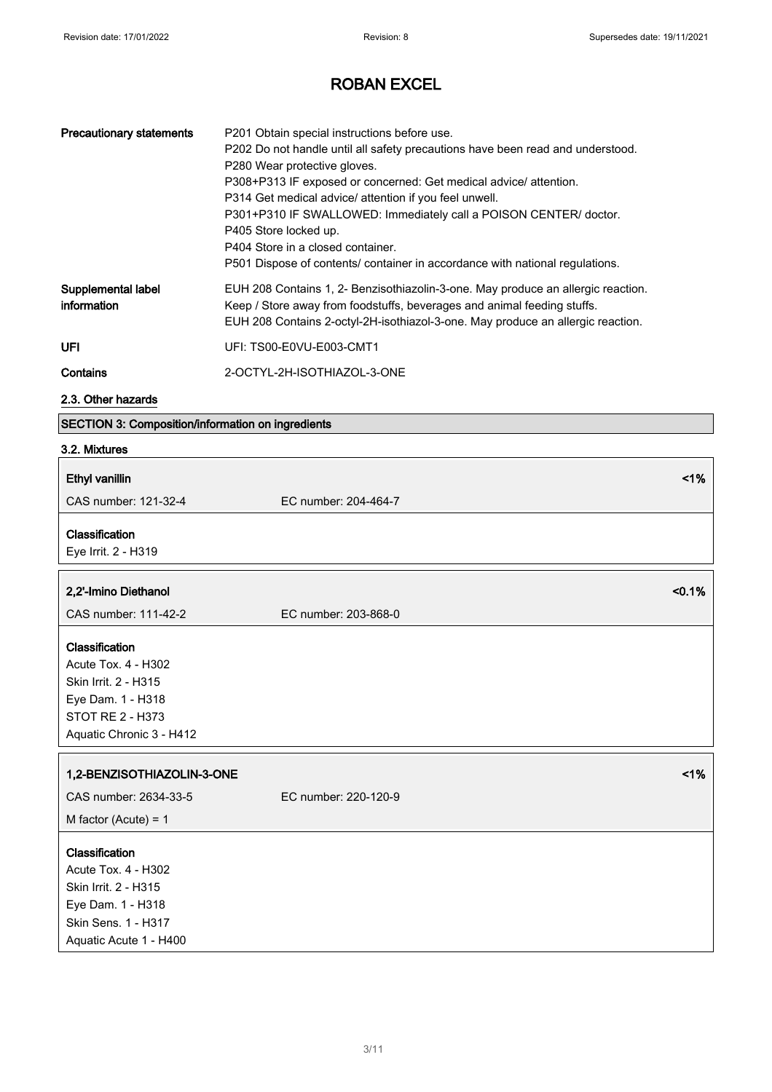| <b>Precautionary statements</b>   | P201 Obtain special instructions before use.<br>P202 Do not handle until all safety precautions have been read and understood.<br>P280 Wear protective gloves.<br>P308+P313 IF exposed or concerned: Get medical advice/ attention.<br>P314 Get medical advice/ attention if you feel unwell.<br>P301+P310 IF SWALLOWED: Immediately call a POISON CENTER/ doctor.<br>P405 Store locked up.<br>P404 Store in a closed container.<br>P501 Dispose of contents/ container in accordance with national regulations. |
|-----------------------------------|------------------------------------------------------------------------------------------------------------------------------------------------------------------------------------------------------------------------------------------------------------------------------------------------------------------------------------------------------------------------------------------------------------------------------------------------------------------------------------------------------------------|
| Supplemental label<br>information | EUH 208 Contains 1, 2- Benzisothiazolin-3-one. May produce an allergic reaction.<br>Keep / Store away from foodstuffs, beverages and animal feeding stuffs.<br>EUH 208 Contains 2-octyl-2H-isothiazol-3-one. May produce an allergic reaction.                                                                                                                                                                                                                                                                   |
| UFI                               | UFI: TS00-E0VU-E003-CMT1                                                                                                                                                                                                                                                                                                                                                                                                                                                                                         |
| Contains                          | 2-OCTYL-2H-ISOTHIAZOL-3-ONE                                                                                                                                                                                                                                                                                                                                                                                                                                                                                      |

### 2.3. Other hazards

## SECTION 3: Composition/information on ingredients

### 3.2. Mixtures

| <b>Ethyl vanillin</b>                                                                                                                      | 1%                             |
|--------------------------------------------------------------------------------------------------------------------------------------------|--------------------------------|
| CAS number: 121-32-4                                                                                                                       | EC number: 204-464-7           |
| Classification<br>Eye Irrit. 2 - H319                                                                                                      |                                |
| 2,2'-Imino Diethanol<br>CAS number: 111-42-2                                                                                               | < 0.1%<br>EC number: 203-868-0 |
| Classification<br><b>Acute Tox. 4 - H302</b><br>Skin Irrit. 2 - H315<br>Eye Dam. 1 - H318<br>STOT RE 2 - H373<br>Aquatic Chronic 3 - H412  |                                |
| 1,2-BENZISOTHIAZOLIN-3-ONE<br>CAS number: 2634-33-5                                                                                        | 1%<br>EC number: 220-120-9     |
| M factor (Acute) = $1$                                                                                                                     |                                |
| Classification<br>Acute Tox. 4 - H302<br>Skin Irrit. 2 - H315<br>Eye Dam. 1 - H318<br><b>Skin Sens. 1 - H317</b><br>Aquatic Acute 1 - H400 |                                |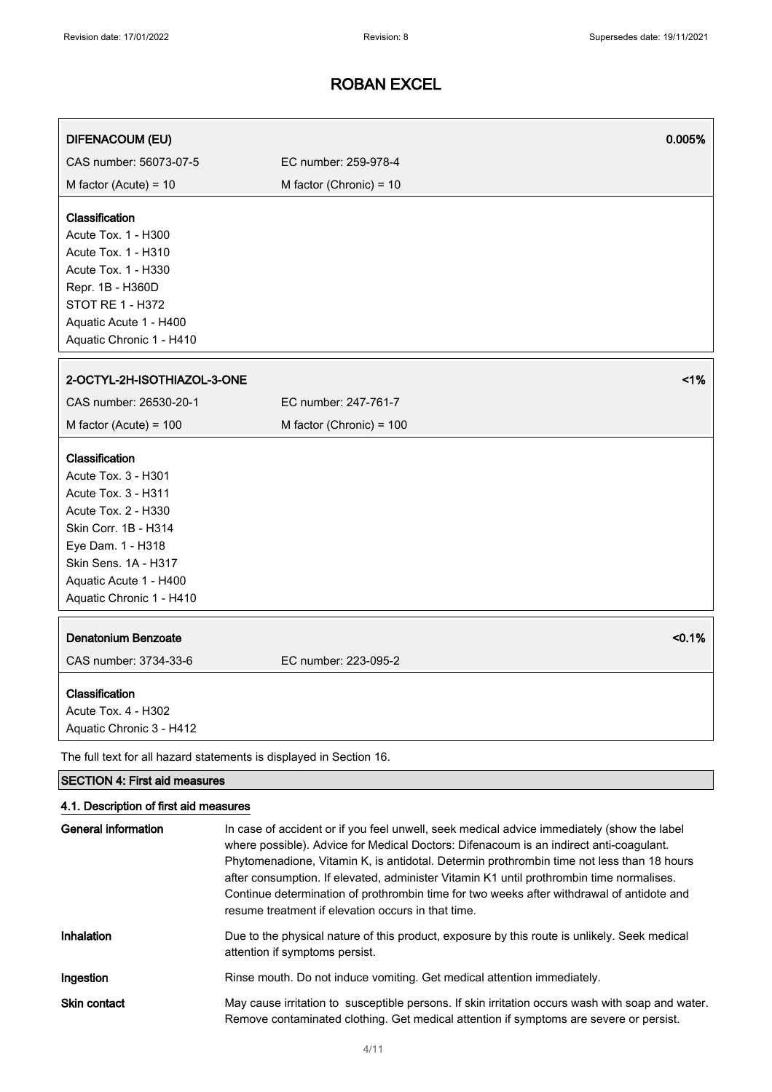| <b>DIFENACOUM (EU)</b>                                                                                                                                                                                         | 0.005%                         |
|----------------------------------------------------------------------------------------------------------------------------------------------------------------------------------------------------------------|--------------------------------|
| CAS number: 56073-07-5                                                                                                                                                                                         | EC number: 259-978-4           |
| M factor (Acute) = $10$                                                                                                                                                                                        | M factor (Chronic) = $10$      |
| Classification<br>Acute Tox. 1 - H300<br>Acute Tox. 1 - H310<br>Acute Tox. 1 - H330<br>Repr. 1B - H360D<br>STOT RE 1 - H372<br>Aquatic Acute 1 - H400<br>Aquatic Chronic 1 - H410                              |                                |
| 2-OCTYL-2H-ISOTHIAZOL-3-ONE                                                                                                                                                                                    | 1%                             |
| CAS number: 26530-20-1                                                                                                                                                                                         | EC number: 247-761-7           |
| M factor (Acute) = $100$                                                                                                                                                                                       | M factor (Chronic) = 100       |
| Classification<br>Acute Tox. 3 - H301<br>Acute Tox. 3 - H311<br>Acute Tox. 2 - H330<br>Skin Corr. 1B - H314<br>Eye Dam. 1 - H318<br>Skin Sens. 1A - H317<br>Aquatic Acute 1 - H400<br>Aquatic Chronic 1 - H410 |                                |
| <b>Denatonium Benzoate</b><br>CAS number: 3734-33-6                                                                                                                                                            | < 0.1%<br>EC number: 223-095-2 |
| Classification<br>Acute Tox. 4 - H302<br>Aquatic Chronic 3 - H412                                                                                                                                              |                                |
| The full text for all hazard statements is displayed in Section 16.                                                                                                                                            |                                |
| <b>SECTION 4: First aid measures</b>                                                                                                                                                                           |                                |
| 4.1. Description of first aid measures                                                                                                                                                                         |                                |
|                                                                                                                                                                                                                |                                |

| General information | In case of accident or if you feel unwell, seek medical advice immediately (show the label<br>where possible). Advice for Medical Doctors: Difenacoum is an indirect anti-coagulant.<br>Phytomenadione, Vitamin K, is antidotal. Determin prothrombin time not less than 18 hours<br>after consumption. If elevated, administer Vitamin K1 until prothrombin time normalises.<br>Continue determination of prothrombin time for two weeks after withdrawal of antidote and<br>resume treatment if elevation occurs in that time. |
|---------------------|----------------------------------------------------------------------------------------------------------------------------------------------------------------------------------------------------------------------------------------------------------------------------------------------------------------------------------------------------------------------------------------------------------------------------------------------------------------------------------------------------------------------------------|
| Inhalation          | Due to the physical nature of this product, exposure by this route is unlikely. Seek medical<br>attention if symptoms persist.                                                                                                                                                                                                                                                                                                                                                                                                   |
| Ingestion           | Rinse mouth. Do not induce vomiting. Get medical attention immediately.                                                                                                                                                                                                                                                                                                                                                                                                                                                          |
| <b>Skin contact</b> | May cause irritation to susceptible persons. If skin irritation occurs wash with soap and water.<br>Remove contaminated clothing. Get medical attention if symptoms are severe or persist.                                                                                                                                                                                                                                                                                                                                       |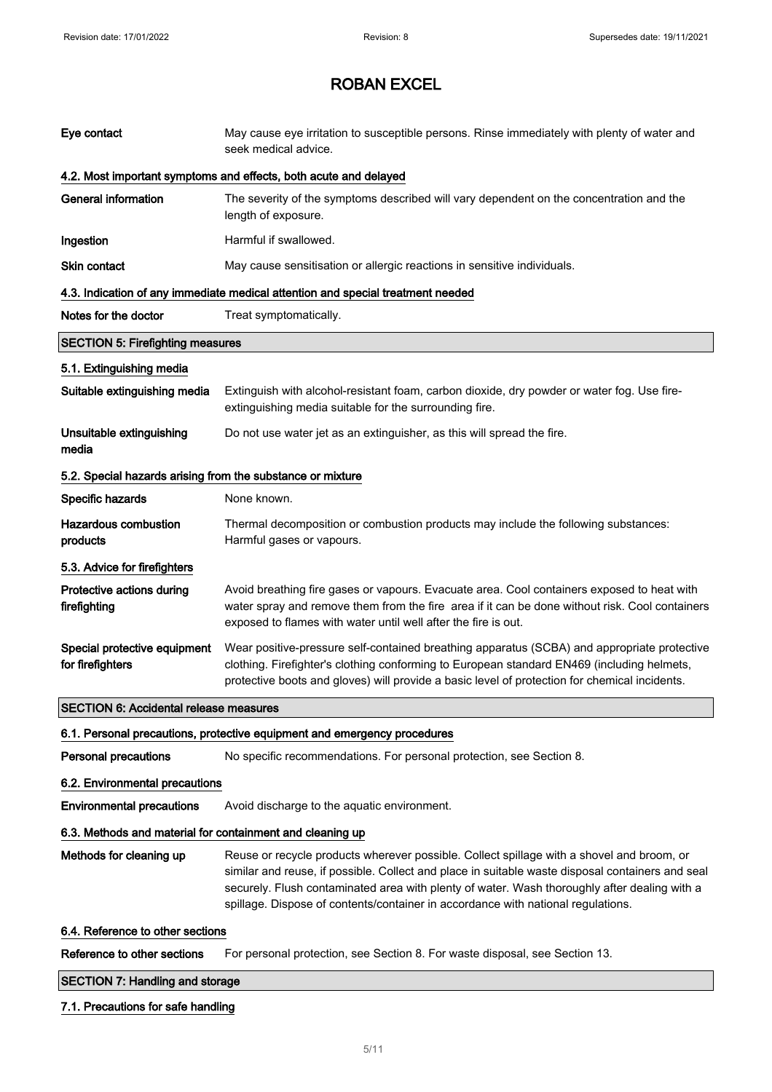| Eye contact                                                | May cause eye irritation to susceptible persons. Rinse immediately with plenty of water and<br>seek medical advice.                                                                                                                                                                                                                                                               |
|------------------------------------------------------------|-----------------------------------------------------------------------------------------------------------------------------------------------------------------------------------------------------------------------------------------------------------------------------------------------------------------------------------------------------------------------------------|
|                                                            | 4.2. Most important symptoms and effects, both acute and delayed                                                                                                                                                                                                                                                                                                                  |
| <b>General information</b>                                 | The severity of the symptoms described will vary dependent on the concentration and the<br>length of exposure.                                                                                                                                                                                                                                                                    |
| Ingestion                                                  | Harmful if swallowed.                                                                                                                                                                                                                                                                                                                                                             |
| Skin contact                                               | May cause sensitisation or allergic reactions in sensitive individuals.                                                                                                                                                                                                                                                                                                           |
|                                                            | 4.3. Indication of any immediate medical attention and special treatment needed                                                                                                                                                                                                                                                                                                   |
| Notes for the doctor                                       | Treat symptomatically.                                                                                                                                                                                                                                                                                                                                                            |
| <b>SECTION 5: Firefighting measures</b>                    |                                                                                                                                                                                                                                                                                                                                                                                   |
| 5.1. Extinguishing media                                   |                                                                                                                                                                                                                                                                                                                                                                                   |
| Suitable extinguishing media                               | Extinguish with alcohol-resistant foam, carbon dioxide, dry powder or water fog. Use fire-<br>extinguishing media suitable for the surrounding fire.                                                                                                                                                                                                                              |
| Unsuitable extinguishing<br>media                          | Do not use water jet as an extinguisher, as this will spread the fire.                                                                                                                                                                                                                                                                                                            |
| 5.2. Special hazards arising from the substance or mixture |                                                                                                                                                                                                                                                                                                                                                                                   |
| Specific hazards                                           | None known.                                                                                                                                                                                                                                                                                                                                                                       |
| <b>Hazardous combustion</b><br>products                    | Thermal decomposition or combustion products may include the following substances:<br>Harmful gases or vapours.                                                                                                                                                                                                                                                                   |
| 5.3. Advice for firefighters                               |                                                                                                                                                                                                                                                                                                                                                                                   |
| Protective actions during<br>firefighting                  | Avoid breathing fire gases or vapours. Evacuate area. Cool containers exposed to heat with<br>water spray and remove them from the fire area if it can be done without risk. Cool containers<br>exposed to flames with water until well after the fire is out.                                                                                                                    |
| Special protective equipment<br>for firefighters           | Wear positive-pressure self-contained breathing apparatus (SCBA) and appropriate protective<br>clothing. Firefighter's clothing conforming to European standard EN469 (including helmets,<br>protective boots and gloves) will provide a basic level of protection for chemical incidents.                                                                                        |
| <b>SECTION 6: Accidental release measures</b>              |                                                                                                                                                                                                                                                                                                                                                                                   |
|                                                            | 6.1. Personal precautions, protective equipment and emergency procedures                                                                                                                                                                                                                                                                                                          |
| <b>Personal precautions</b>                                | No specific recommendations. For personal protection, see Section 8.                                                                                                                                                                                                                                                                                                              |
| 6.2. Environmental precautions                             |                                                                                                                                                                                                                                                                                                                                                                                   |
| <b>Environmental precautions</b>                           | Avoid discharge to the aquatic environment.                                                                                                                                                                                                                                                                                                                                       |
| 6.3. Methods and material for containment and cleaning up  |                                                                                                                                                                                                                                                                                                                                                                                   |
| Methods for cleaning up                                    | Reuse or recycle products wherever possible. Collect spillage with a shovel and broom, or<br>similar and reuse, if possible. Collect and place in suitable waste disposal containers and seal<br>securely. Flush contaminated area with plenty of water. Wash thoroughly after dealing with a<br>spillage. Dispose of contents/container in accordance with national regulations. |
| 6.4. Reference to other sections                           |                                                                                                                                                                                                                                                                                                                                                                                   |
| Reference to other sections                                | For personal protection, see Section 8. For waste disposal, see Section 13.                                                                                                                                                                                                                                                                                                       |
| <b>SECTION 7: Handling and storage</b>                     |                                                                                                                                                                                                                                                                                                                                                                                   |

### 7.1. Precautions for safe handling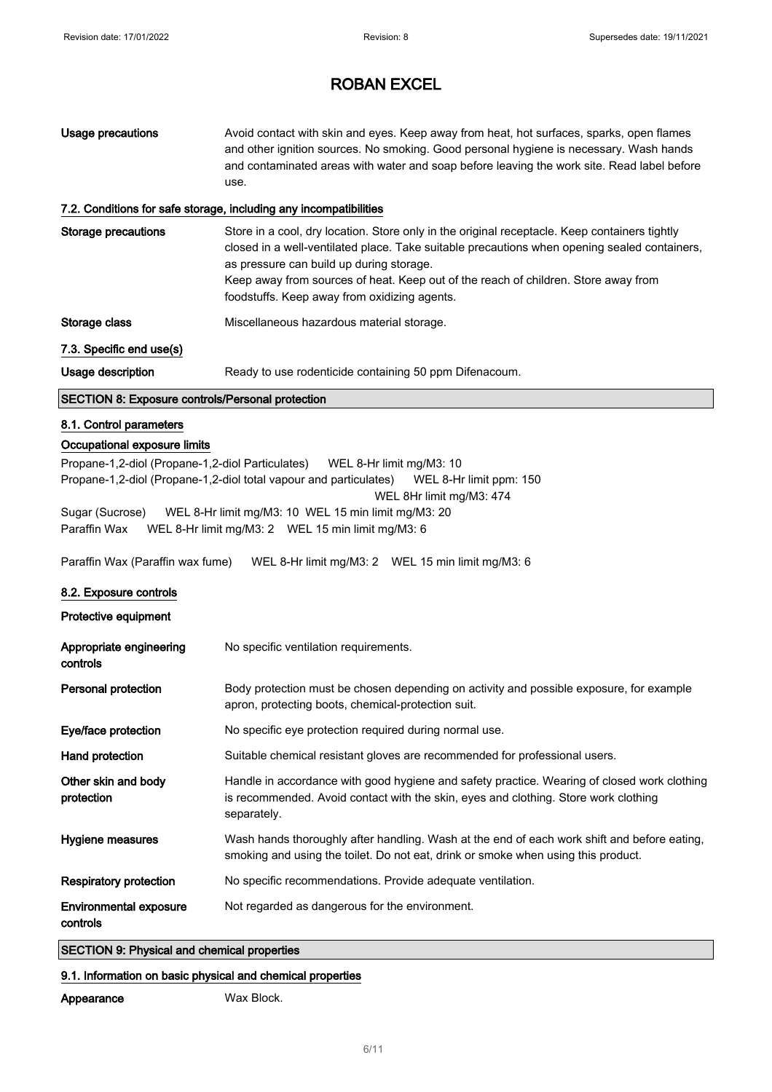| <b>Usage precautions</b>                                                                                                                                                                                                                                 | Avoid contact with skin and eyes. Keep away from heat, hot surfaces, sparks, open flames<br>and other ignition sources. No smoking. Good personal hygiene is necessary. Wash hands<br>and contaminated areas with water and soap before leaving the work site. Read label before<br>use.                                                                                            |
|----------------------------------------------------------------------------------------------------------------------------------------------------------------------------------------------------------------------------------------------------------|-------------------------------------------------------------------------------------------------------------------------------------------------------------------------------------------------------------------------------------------------------------------------------------------------------------------------------------------------------------------------------------|
|                                                                                                                                                                                                                                                          | 7.2. Conditions for safe storage, including any incompatibilities                                                                                                                                                                                                                                                                                                                   |
| <b>Storage precautions</b>                                                                                                                                                                                                                               | Store in a cool, dry location. Store only in the original receptacle. Keep containers tightly<br>closed in a well-ventilated place. Take suitable precautions when opening sealed containers,<br>as pressure can build up during storage.<br>Keep away from sources of heat. Keep out of the reach of children. Store away from<br>foodstuffs. Keep away from oxidizing agents.     |
| Storage class                                                                                                                                                                                                                                            | Miscellaneous hazardous material storage.                                                                                                                                                                                                                                                                                                                                           |
| 7.3. Specific end use(s)                                                                                                                                                                                                                                 |                                                                                                                                                                                                                                                                                                                                                                                     |
| Usage description                                                                                                                                                                                                                                        | Ready to use rodenticide containing 50 ppm Difenacoum.                                                                                                                                                                                                                                                                                                                              |
| <b>SECTION 8: Exposure controls/Personal protection</b>                                                                                                                                                                                                  |                                                                                                                                                                                                                                                                                                                                                                                     |
| 8.1. Control parameters<br>Occupational exposure limits<br>Propane-1,2-diol (Propane-1,2-diol Particulates)<br>Paraffin Wax<br>Paraffin Wax (Paraffin wax fume)<br>8.2. Exposure controls<br>Protective equipment<br>Appropriate engineering<br>controls | WEL 8-Hr limit mg/M3: 10<br>Propane-1,2-diol (Propane-1,2-diol total vapour and particulates)<br>WEL 8-Hr limit ppm: 150<br>WEL 8Hr limit mg/M3: 474<br>Sugar (Sucrose)    WEL 8-Hr limit mg/M3: 10 WEL 15 min limit mg/M3: 20<br>WEL 8-Hr limit mg/M3: 2  WEL 15 min limit mg/M3: 6<br>WEL 8-Hr limit mg/M3: 2  WEL 15 min limit mg/M3: 6<br>No specific ventilation requirements. |
| Personal protection                                                                                                                                                                                                                                      | Body protection must be chosen depending on activity and possible exposure, for example<br>apron, protecting boots, chemical-protection suit.                                                                                                                                                                                                                                       |
| Eye/face protection                                                                                                                                                                                                                                      | No specific eye protection required during normal use.                                                                                                                                                                                                                                                                                                                              |
| Hand protection                                                                                                                                                                                                                                          | Suitable chemical resistant gloves are recommended for professional users.                                                                                                                                                                                                                                                                                                          |
| Other skin and body<br>protection                                                                                                                                                                                                                        | Handle in accordance with good hygiene and safety practice. Wearing of closed work clothing<br>is recommended. Avoid contact with the skin, eyes and clothing. Store work clothing<br>separately.                                                                                                                                                                                   |
| Hygiene measures                                                                                                                                                                                                                                         | Wash hands thoroughly after handling. Wash at the end of each work shift and before eating,<br>smoking and using the toilet. Do not eat, drink or smoke when using this product.                                                                                                                                                                                                    |
| <b>Respiratory protection</b>                                                                                                                                                                                                                            | No specific recommendations. Provide adequate ventilation.                                                                                                                                                                                                                                                                                                                          |
| <b>Environmental exposure</b><br>controls                                                                                                                                                                                                                | Not regarded as dangerous for the environment.                                                                                                                                                                                                                                                                                                                                      |

### SECTION 9: Physical and chemical properties

### 9.1. Information on basic physical and chemical properties

Appearance Wax Block.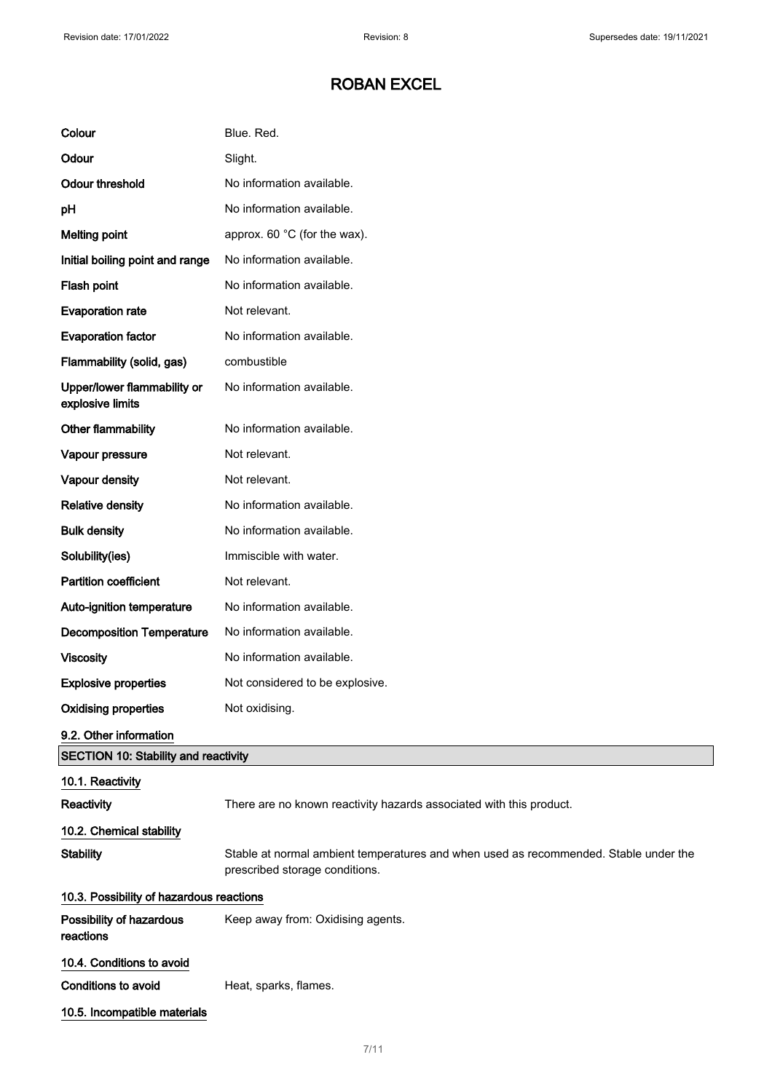| Colour                                          | Blue. Red.                                                                                                             |
|-------------------------------------------------|------------------------------------------------------------------------------------------------------------------------|
| Odour                                           | Slight.                                                                                                                |
| <b>Odour threshold</b>                          | No information available.                                                                                              |
| pH                                              | No information available.                                                                                              |
| <b>Melting point</b>                            | approx. 60 °C (for the wax).                                                                                           |
| Initial boiling point and range                 | No information available.                                                                                              |
| Flash point                                     | No information available.                                                                                              |
| <b>Evaporation rate</b>                         | Not relevant.                                                                                                          |
| <b>Evaporation factor</b>                       | No information available.                                                                                              |
| Flammability (solid, gas)                       | combustible                                                                                                            |
| Upper/lower flammability or<br>explosive limits | No information available.                                                                                              |
| Other flammability                              | No information available.                                                                                              |
| Vapour pressure                                 | Not relevant.                                                                                                          |
| Vapour density                                  | Not relevant.                                                                                                          |
| <b>Relative density</b>                         | No information available.                                                                                              |
| <b>Bulk density</b>                             | No information available.                                                                                              |
| Solubility(ies)                                 | Immiscible with water.                                                                                                 |
| <b>Partition coefficient</b>                    | Not relevant.                                                                                                          |
| Auto-ignition temperature                       | No information available.                                                                                              |
| <b>Decomposition Temperature</b>                | No information available.                                                                                              |
| <b>Viscosity</b>                                | No information available.                                                                                              |
| <b>Explosive properties</b>                     | Not considered to be explosive.                                                                                        |
| <b>Oxidising properties</b>                     | Not oxidising.                                                                                                         |
| 9.2. Other information                          |                                                                                                                        |
| <b>SECTION 10: Stability and reactivity</b>     |                                                                                                                        |
| 10.1. Reactivity                                |                                                                                                                        |
| Reactivity                                      | There are no known reactivity hazards associated with this product.                                                    |
| 10.2. Chemical stability                        |                                                                                                                        |
| <b>Stability</b>                                | Stable at normal ambient temperatures and when used as recommended. Stable under the<br>prescribed storage conditions. |
| 10.3. Possibility of hazardous reactions        |                                                                                                                        |
| Possibility of hazardous<br>reactions           | Keep away from: Oxidising agents.                                                                                      |
| 10.4. Conditions to avoid                       |                                                                                                                        |
| <b>Conditions to avoid</b>                      | Heat, sparks, flames.                                                                                                  |
| 10.5. Incompatible materials                    |                                                                                                                        |
|                                                 |                                                                                                                        |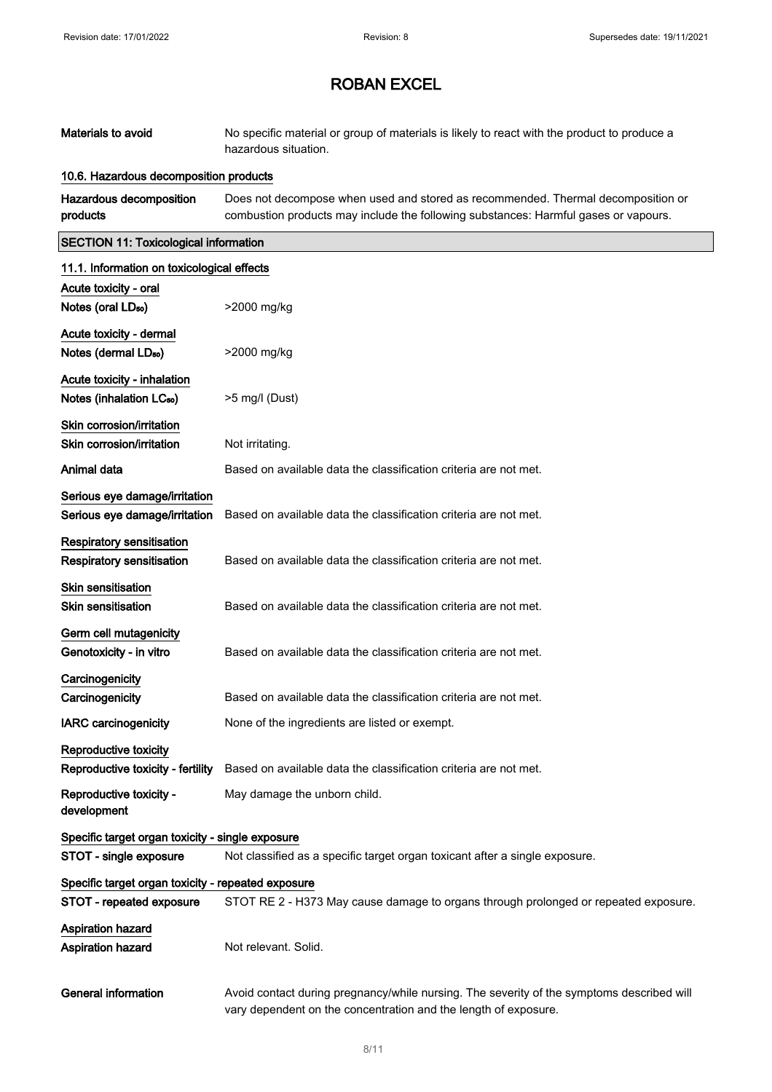Materials to avoid No specific material or group of materials is likely to react with the product to produce a

|                                                      | hazardous situation.                                                                                                                                                    |  |
|------------------------------------------------------|-------------------------------------------------------------------------------------------------------------------------------------------------------------------------|--|
| 10.6. Hazardous decomposition products               |                                                                                                                                                                         |  |
| Hazardous decomposition<br>products                  | Does not decompose when used and stored as recommended. Thermal decomposition or<br>combustion products may include the following substances: Harmful gases or vapours. |  |
| <b>SECTION 11: Toxicological information</b>         |                                                                                                                                                                         |  |
| 11.1. Information on toxicological effects           |                                                                                                                                                                         |  |
| Acute toxicity - oral                                |                                                                                                                                                                         |  |
| Notes (oral LD <sub>50</sub> )                       | >2000 mg/kg                                                                                                                                                             |  |
| Acute toxicity - dermal                              |                                                                                                                                                                         |  |
| Notes (dermal LD <sub>50</sub> )                     | >2000 mg/kg                                                                                                                                                             |  |
| Acute toxicity - inhalation                          |                                                                                                                                                                         |  |
| Notes (inhalation LC <sub>50</sub> )                 | >5 mg/l (Dust)                                                                                                                                                          |  |
| Skin corrosion/irritation                            |                                                                                                                                                                         |  |
| Skin corrosion/irritation                            | Not irritating.                                                                                                                                                         |  |
| Animal data                                          | Based on available data the classification criteria are not met.                                                                                                        |  |
| Serious eye damage/irritation                        |                                                                                                                                                                         |  |
| Serious eye damage/irritation                        | Based on available data the classification criteria are not met.                                                                                                        |  |
| Respiratory sensitisation                            |                                                                                                                                                                         |  |
| <b>Respiratory sensitisation</b>                     | Based on available data the classification criteria are not met.                                                                                                        |  |
| <b>Skin sensitisation</b>                            |                                                                                                                                                                         |  |
| <b>Skin sensitisation</b>                            | Based on available data the classification criteria are not met.                                                                                                        |  |
| Germ cell mutagenicity                               |                                                                                                                                                                         |  |
| Genotoxicity - in vitro                              | Based on available data the classification criteria are not met.                                                                                                        |  |
| Carcinogenicity                                      |                                                                                                                                                                         |  |
| Carcinogenicity                                      | Based on available data the classification criteria are not met.                                                                                                        |  |
| <b>IARC</b> carcinogenicity                          | None of the ingredients are listed or exempt.                                                                                                                           |  |
| Reproductive toxicity                                |                                                                                                                                                                         |  |
| Reproductive toxicity - fertility                    | Based on available data the classification criteria are not met.                                                                                                        |  |
| Reproductive toxicity -<br>development               | May damage the unborn child.                                                                                                                                            |  |
| Specific target organ toxicity - single exposure     |                                                                                                                                                                         |  |
| STOT - single exposure                               | Not classified as a specific target organ toxicant after a single exposure.                                                                                             |  |
| Specific target organ toxicity - repeated exposure   |                                                                                                                                                                         |  |
| <b>STOT - repeated exposure</b>                      | STOT RE 2 - H373 May cause damage to organs through prolonged or repeated exposure.                                                                                     |  |
| <b>Aspiration hazard</b><br><b>Aspiration hazard</b> | Not relevant. Solid.                                                                                                                                                    |  |
| <b>General information</b>                           | Avoid contact during pregnancy/while nursing. The severity of the symptoms described will<br>vary dependent on the concentration and the length of exposure.            |  |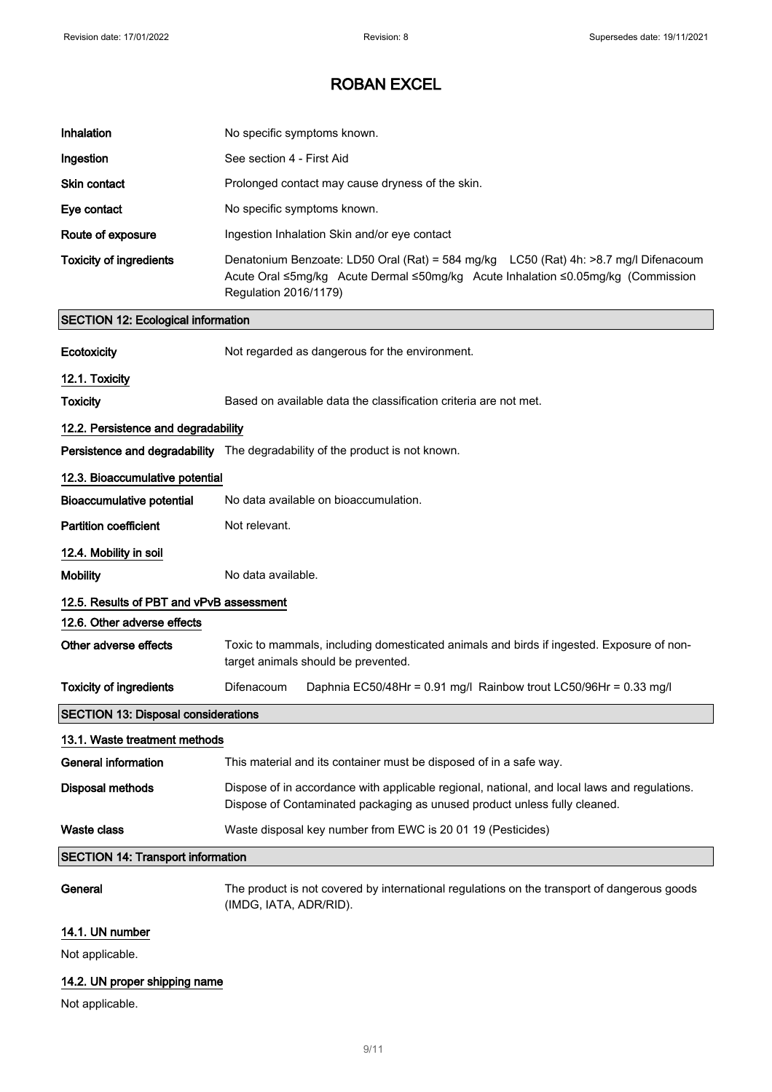| Inhalation                                 | No specific symptoms known.                                                                                                                                                                       |
|--------------------------------------------|---------------------------------------------------------------------------------------------------------------------------------------------------------------------------------------------------|
| Ingestion                                  | See section 4 - First Aid                                                                                                                                                                         |
| <b>Skin contact</b>                        | Prolonged contact may cause dryness of the skin.                                                                                                                                                  |
| Eye contact                                | No specific symptoms known.                                                                                                                                                                       |
| Route of exposure                          | Ingestion Inhalation Skin and/or eye contact                                                                                                                                                      |
| <b>Toxicity of ingredients</b>             | Denatonium Benzoate: LD50 Oral (Rat) = 584 mg/kg LC50 (Rat) 4h: >8.7 mg/l Difenacoum<br>Acute Oral ≤5mg/kg Acute Dermal ≤50mg/kg Acute Inhalation ≤0.05mg/kg (Commission<br>Regulation 2016/1179) |
| <b>SECTION 12: Ecological information</b>  |                                                                                                                                                                                                   |
| Ecotoxicity                                | Not regarded as dangerous for the environment.                                                                                                                                                    |
| 12.1. Toxicity                             |                                                                                                                                                                                                   |
| <b>Toxicity</b>                            | Based on available data the classification criteria are not met.                                                                                                                                  |
| 12.2. Persistence and degradability        |                                                                                                                                                                                                   |
|                                            | Persistence and degradability The degradability of the product is not known.                                                                                                                      |
| 12.3. Bioaccumulative potential            |                                                                                                                                                                                                   |
| <b>Bioaccumulative potential</b>           | No data available on bioaccumulation.                                                                                                                                                             |
| <b>Partition coefficient</b>               | Not relevant.                                                                                                                                                                                     |
| 12.4. Mobility in soil                     |                                                                                                                                                                                                   |
| <b>Mobility</b>                            | No data available.                                                                                                                                                                                |
| 12.5. Results of PBT and vPvB assessment   |                                                                                                                                                                                                   |
| 12.6. Other adverse effects                |                                                                                                                                                                                                   |
| Other adverse effects                      | Toxic to mammals, including domesticated animals and birds if ingested. Exposure of non-<br>target animals should be prevented.                                                                   |
| <b>Toxicity of ingredients</b>             | Difenacoum<br>Daphnia EC50/48Hr = 0.91 mg/l Rainbow trout LC50/96Hr = 0.33 mg/l                                                                                                                   |
| <b>SECTION 13: Disposal considerations</b> |                                                                                                                                                                                                   |
| 13.1. Waste treatment methods              |                                                                                                                                                                                                   |
| <b>General information</b>                 | This material and its container must be disposed of in a safe way.                                                                                                                                |
| <b>Disposal methods</b>                    | Dispose of in accordance with applicable regional, national, and local laws and regulations.<br>Dispose of Contaminated packaging as unused product unless fully cleaned.                         |
| Waste class                                | Waste disposal key number from EWC is 20 01 19 (Pesticides)                                                                                                                                       |
| <b>SECTION 14: Transport information</b>   |                                                                                                                                                                                                   |
| General                                    | The product is not covered by international regulations on the transport of dangerous goods<br>(IMDG, IATA, ADR/RID).                                                                             |
| 14.1. UN number                            |                                                                                                                                                                                                   |
| Not applicable.                            |                                                                                                                                                                                                   |
| 14.2. UN proper shipping name              |                                                                                                                                                                                                   |

Not applicable.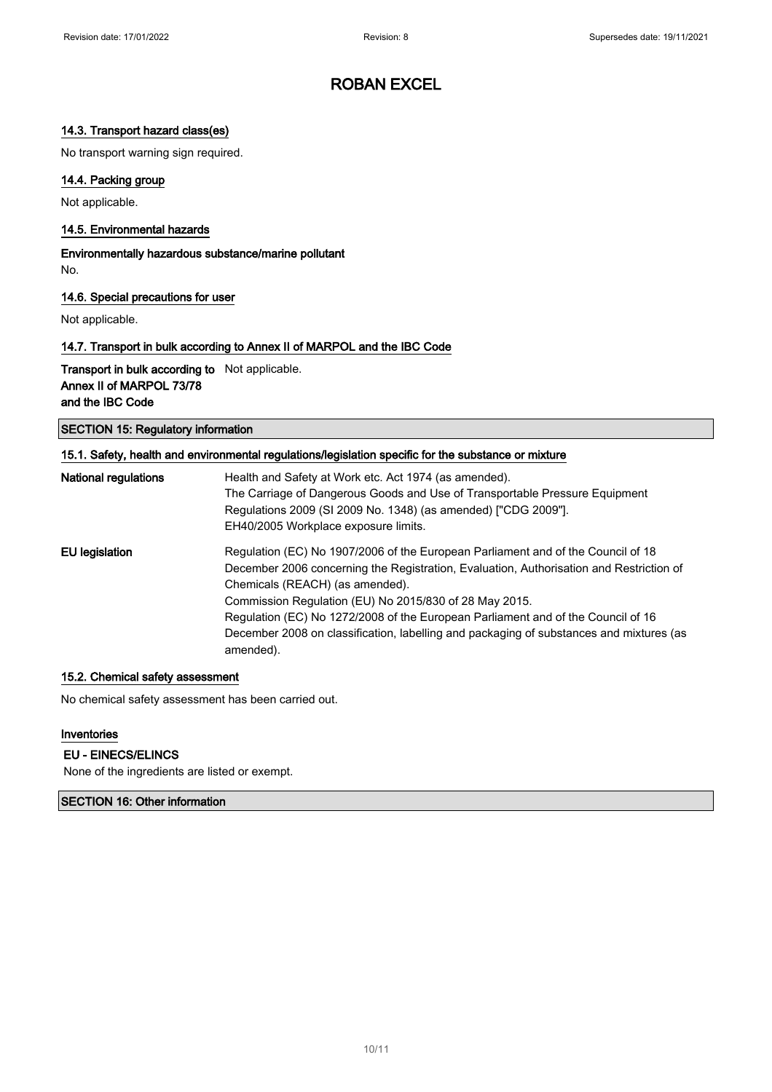### 14.3. Transport hazard class(es)

No transport warning sign required.

#### 14.4. Packing group

Not applicable.

#### 14.5. Environmental hazards

Environmentally hazardous substance/marine pollutant No.

#### 14.6. Special precautions for user

Not applicable.

#### 14.7. Transport in bulk according to Annex II of MARPOL and the IBC Code

Transport in bulk according to Not applicable. Annex II of MARPOL 73/78 and the IBC Code

SECTION 15: Regulatory information

| 15.1. Safety, health and environmental regulations/legislation specific for the substance or mixture |                                                                                                      |  |
|------------------------------------------------------------------------------------------------------|------------------------------------------------------------------------------------------------------|--|
| <b>National regulations</b>                                                                          | Health and Safety at Work etc. Act 1974 (as amended).                                                |  |
|                                                                                                      | The Carriage of Dangerous Goods and Use of Transportable Pressure Equipment                          |  |
|                                                                                                      | Regulations 2009 (SI 2009 No. 1348) (as amended) ["CDG 2009"].                                       |  |
|                                                                                                      | EH40/2005 Workplace exposure limits.                                                                 |  |
| EU legislation                                                                                       | Regulation (EC) No 1907/2006 of the European Parliament and of the Council of 18                     |  |
|                                                                                                      | December 2006 concerning the Registration, Evaluation, Authorisation and Restriction of              |  |
|                                                                                                      | Chemicals (REACH) (as amended).                                                                      |  |
|                                                                                                      | Commission Regulation (EU) No 2015/830 of 28 May 2015.                                               |  |
|                                                                                                      | Regulation (EC) No 1272/2008 of the European Parliament and of the Council of 16                     |  |
|                                                                                                      | December 2008 on classification, labelling and packaging of substances and mixtures (as<br>amended). |  |

#### 15.2. Chemical safety assessment

No chemical safety assessment has been carried out.

#### Inventories

#### EU - EINECS/ELINCS

None of the ingredients are listed or exempt.

#### SECTION 16: Other information